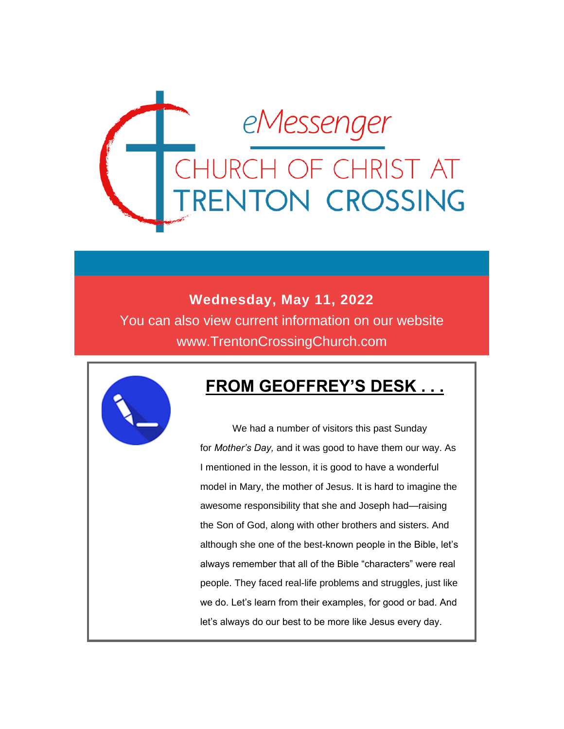

#### **Wednesday, May 11, 2022**

You can also view current information on our website www.TrentonCrossingChurch.com



#### **FROM GEOFFREY'S DESK . . .**

 We had a number of visitors this past Sunday for *Mother's Day,* and it was good to have them our way. As I mentioned in the lesson, it is good to have a wonderful model in Mary, the mother of Jesus. It is hard to imagine the awesome responsibility that she and Joseph had—raising the Son of God, along with other brothers and sisters. And although she one of the best-known people in the Bible, let's always remember that all of the Bible "characters" were real people. They faced real-life problems and struggles, just like we do. Let's learn from their examples, for good or bad. And let's always do our best to be more like Jesus every day.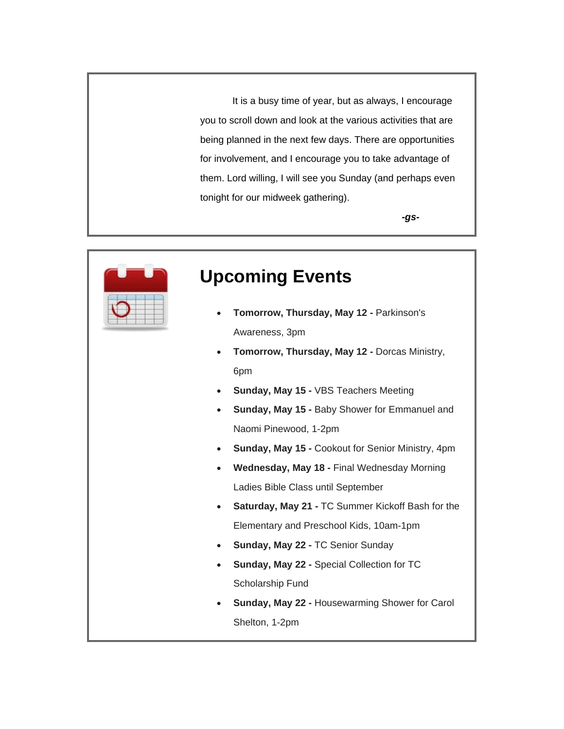It is a busy time of year, but as always, I encourage you to scroll down and look at the various activities that are being planned in the next few days. There are opportunities for involvement, and I encourage you to take advantage of them. Lord willing, I will see you Sunday (and perhaps even tonight for our midweek gathering).

*-gs-*



#### **Upcoming Events**

- **Tomorrow, Thursday, May 12 -** Parkinson's Awareness, 3pm
- **Tomorrow, Thursday, May 12 -** Dorcas Ministry, 6pm
- **Sunday, May 15 -** VBS Teachers Meeting
- **Sunday, May 15 -** Baby Shower for Emmanuel and Naomi Pinewood, 1-2pm
- **Sunday, May 15 -** Cookout for Senior Ministry, 4pm
- **Wednesday, May 18 -** Final Wednesday Morning Ladies Bible Class until September
- **Saturday, May 21 -** TC Summer Kickoff Bash for the Elementary and Preschool Kids, 10am-1pm
- **Sunday, May 22 -** TC Senior Sunday
- **Sunday, May 22 -** Special Collection for TC Scholarship Fund
- **Sunday, May 22 -** Housewarming Shower for Carol Shelton, 1-2pm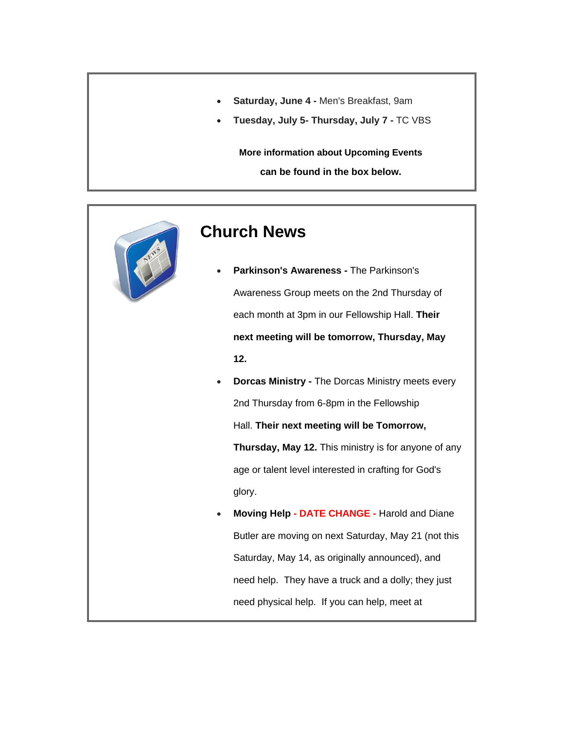- **Saturday, June 4 -** Men's Breakfast, 9am
- **Tuesday, July 5- Thursday, July 7 -** TC VBS

**More information about Upcoming Events can be found in the box below.**



#### **Church News**

- **Parkinson's Awareness -** The Parkinson's Awareness Group meets on the 2nd Thursday of each month at 3pm in our Fellowship Hall. **Their next meeting will be tomorrow, Thursday, May 12.**
- **Dorcas Ministry -** The Dorcas Ministry meets every 2nd Thursday from 6-8pm in the Fellowship Hall. **Their next meeting will be Tomorrow, Thursday, May 12.** This ministry is for anyone of any age or talent level interested in crafting for God's glory.
- **Moving Help - DATE CHANGE -** Harold and Diane Butler are moving on next Saturday, May 21 (not this Saturday, May 14, as originally announced), and need help. They have a truck and a dolly; they just need physical help. If you can help, meet at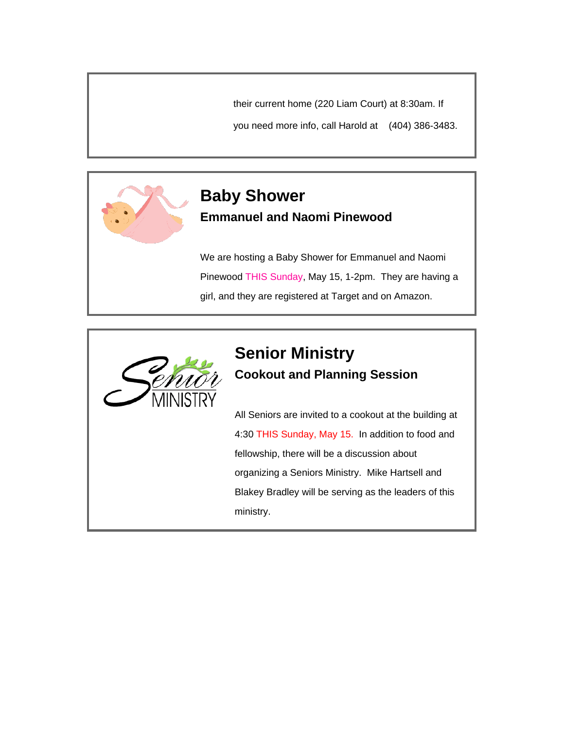their current home (220 Liam Court) at 8:30am. If

you need more info, call Harold at (404) 386-3483.



#### **Baby Shower Emmanuel and Naomi Pinewood**

We are hosting a Baby Shower for Emmanuel and Naomi Pinewood THIS Sunday, May 15, 1-2pm. They are having a girl, and they are registered at Target and on Amazon.



#### **Senior Ministry Cookout and Planning Session**

All Seniors are invited to a cookout at the building at 4:30 THIS Sunday, May 15. In addition to food and fellowship, there will be a discussion about organizing a Seniors Ministry. Mike Hartsell and Blakey Bradley will be serving as the leaders of this ministry.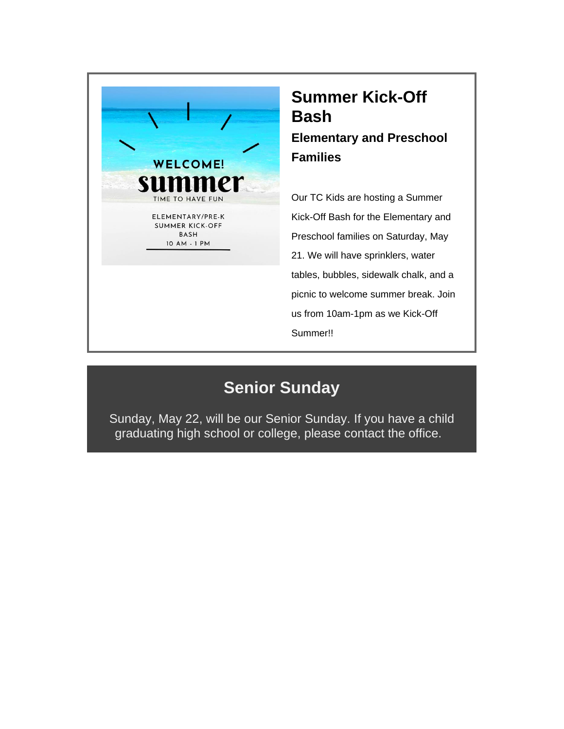

#### **Summer Kick-Off Bash Elementary and Preschool Families**

Our TC Kids are hosting a Summer Kick-Off Bash for the Elementary and Preschool families on Saturday, May 21. We will have sprinklers, water tables, bubbles, sidewalk chalk, and a picnic to welcome summer break. Join us from 10am-1pm as we Kick-Off Summer!!

#### **Senior Sunday**

Sunday, May 22, will be our Senior Sunday. If you have a child graduating high school or college, please contact the office.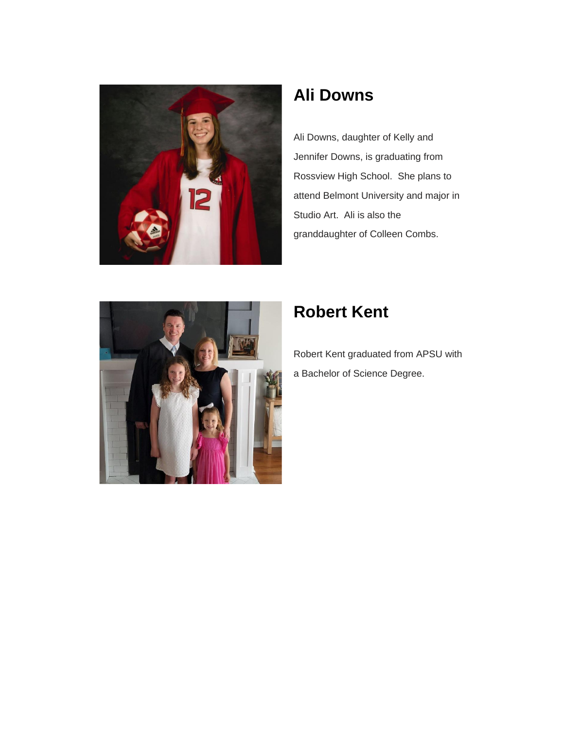

#### **Ali Downs**

Ali Downs, daughter of Kelly and Jennifer Downs, is graduating from Rossview High School. She plans to attend Belmont University and major in Studio Art. Ali is also the granddaughter of Colleen Combs.



## **Robert Kent**

Robert Kent graduated from APSU with a Bachelor of Science Degree.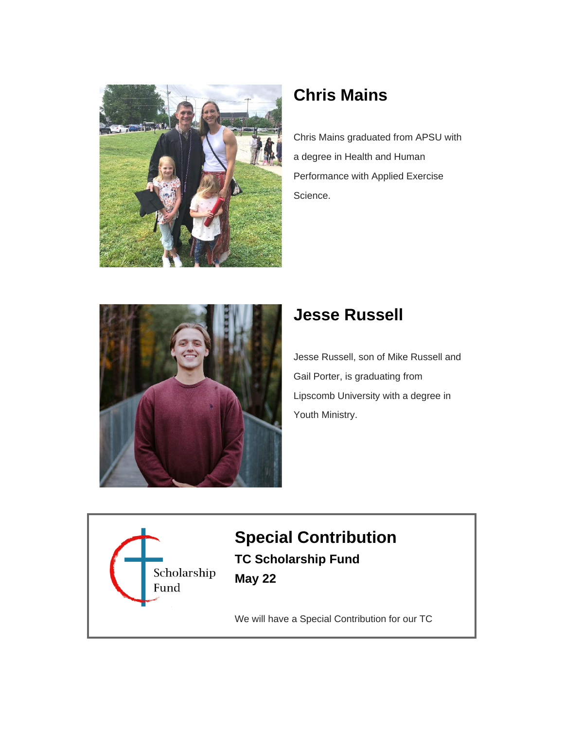

## **Chris Mains**

Chris Mains graduated from APSU with a degree in Health and Human Performance with Applied Exercise Science.



#### **Jesse Russell**

Jesse Russell, son of Mike Russell and Gail Porter, is graduating from Lipscomb University with a degree in Youth Ministry.



#### **Special Contribution TC Scholarship Fund May 22**

We will have a Special Contribution for our TC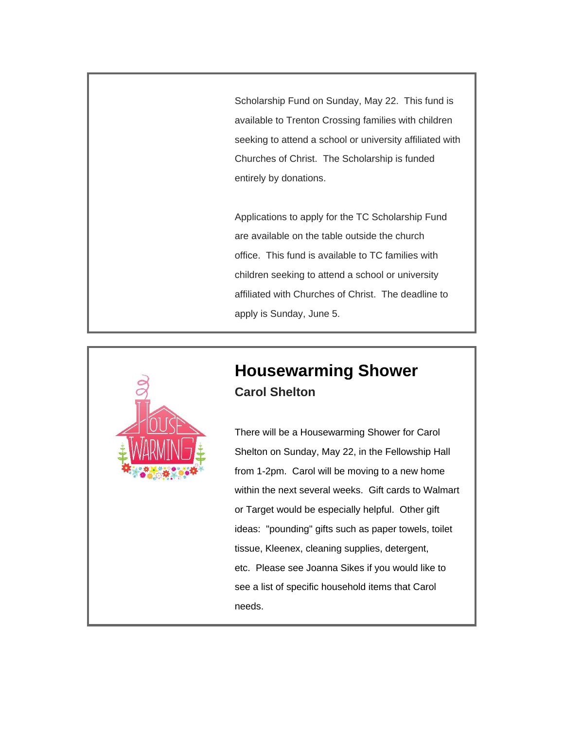Scholarship Fund on Sunday, May 22. This fund is available to Trenton Crossing families with children seeking to attend a school or university affiliated with Churches of Christ. The Scholarship is funded entirely by donations.

Applications to apply for the TC Scholarship Fund are available on the table outside the church office. This fund is available to TC families with children seeking to attend a school or university affiliated with Churches of Christ. The deadline to apply is Sunday, June 5.



#### **Housewarming Shower Carol Shelton**

There will be a Housewarming Shower for Carol Shelton on Sunday, May 22, in the Fellowship Hall from 1-2pm. Carol will be moving to a new home within the next several weeks. Gift cards to Walmart or Target would be especially helpful. Other gift ideas: "pounding" gifts such as paper towels, toilet tissue, Kleenex, cleaning supplies, detergent, etc. Please see Joanna Sikes if you would like to see a list of specific household items that Carol needs.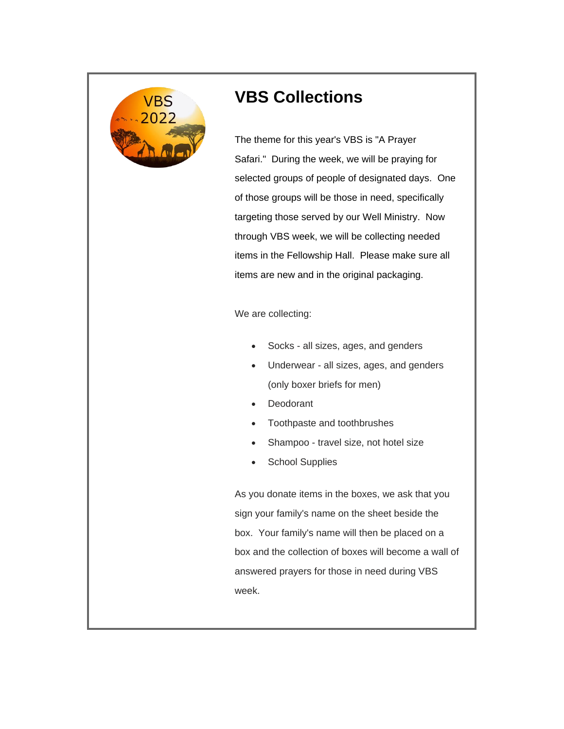

#### **VBS Collections**

The theme for this year's VBS is "A Prayer Safari." During the week, we will be praying for selected groups of people of designated days. One of those groups will be those in need, specifically targeting those served by our Well Ministry. Now through VBS week, we will be collecting needed items in the Fellowship Hall. Please make sure all items are new and in the original packaging.

We are collecting:

- Socks all sizes, ages, and genders
- Underwear all sizes, ages, and genders (only boxer briefs for men)
- Deodorant
- Toothpaste and toothbrushes
- Shampoo travel size, not hotel size
- School Supplies

As you donate items in the boxes, we ask that you sign your family's name on the sheet beside the box. Your family's name will then be placed on a box and the collection of boxes will become a wall of answered prayers for those in need during VBS week.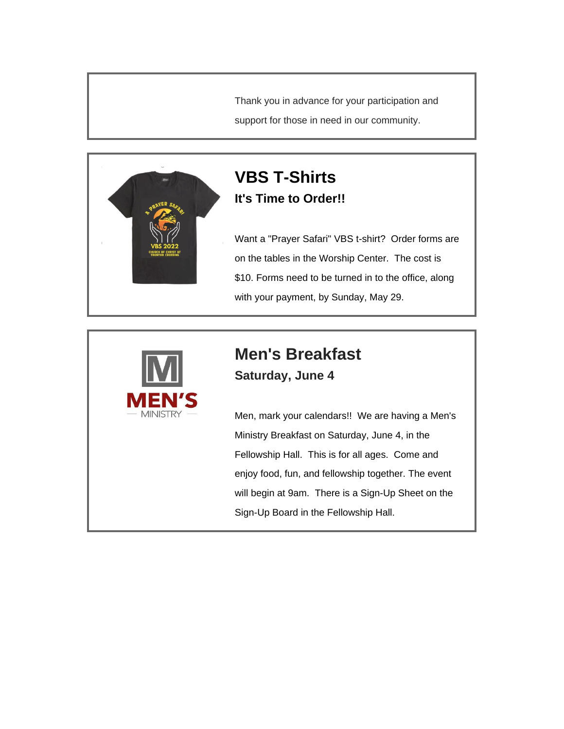Thank you in advance for your participation and support for those in need in our community.



#### **VBS T-Shirts It's Time to Order!!**

Want a "Prayer Safari" VBS t-shirt? Order forms are on the tables in the Worship Center. The cost is \$10. Forms need to be turned in to the office, along with your payment, by Sunday, May 29.



# **Men's Breakfast**

**Saturday, June 4**

Men, mark your calendars!! We are having a Men's Ministry Breakfast on Saturday, June 4, in the Fellowship Hall. This is for all ages. Come and enjoy food, fun, and fellowship together. The event will begin at 9am. There is a Sign-Up Sheet on the Sign-Up Board in the Fellowship Hall.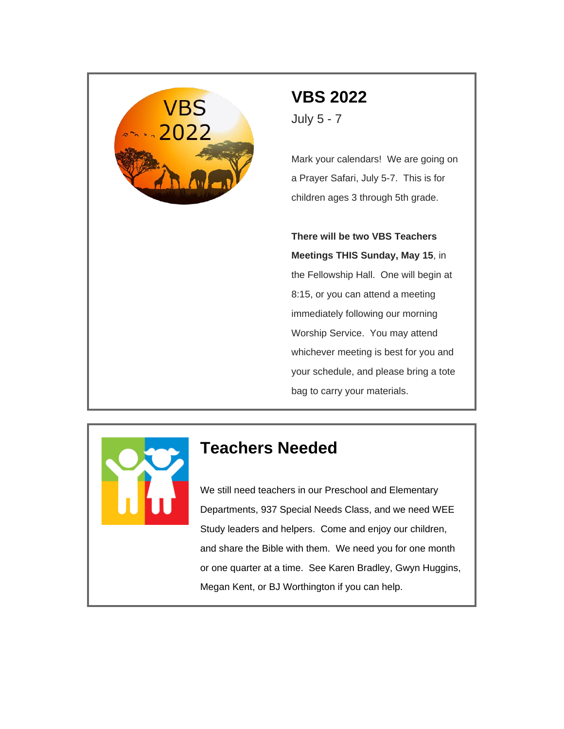

# **VBS 2022**

July 5 - 7

Mark your calendars! We are going on a Prayer Safari, July 5-7. This is for children ages 3 through 5th grade.

**There will be two VBS Teachers Meetings THIS Sunday, May 15**, in the Fellowship Hall. One will begin at 8:15, or you can attend a meeting immediately following our morning Worship Service. You may attend whichever meeting is best for you and your schedule, and please bring a tote bag to carry your materials.



#### **Teachers Needed**

We still need teachers in our Preschool and Elementary Departments, 937 Special Needs Class, and we need WEE Study leaders and helpers. Come and enjoy our children, and share the Bible with them. We need you for one month or one quarter at a time. See Karen Bradley, Gwyn Huggins, Megan Kent, or BJ Worthington if you can help.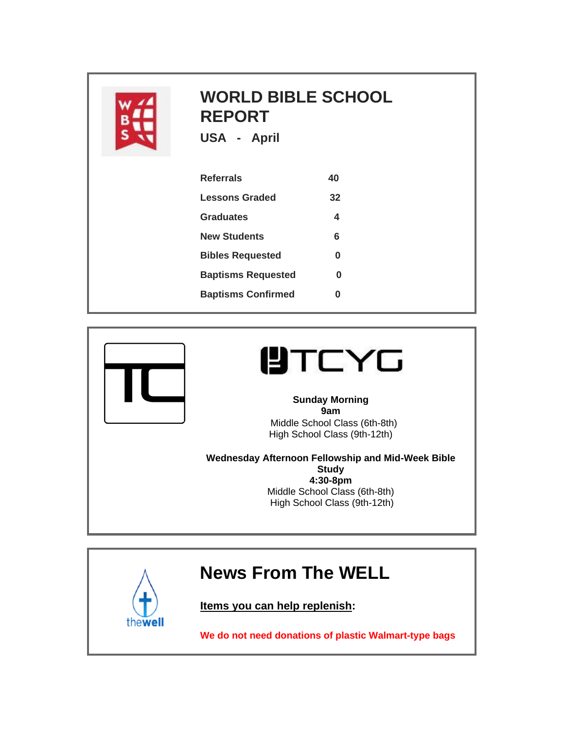

## **WORLD BIBLE SCHOOL REPORT**

**USA - April** 

| <b>Referrals</b>          | 40 |
|---------------------------|----|
| Lessons Graded            | 32 |
| Graduates                 | 4  |
| <b>New Students</b>       | 6  |
| <b>Bibles Requested</b>   | ŋ  |
| <b>Baptisms Requested</b> | በ  |
| <b>Baptisms Confirmed</b> |    |



thewell

# **UTCYG**

**Sunday Morning 9am** Middle School Class (6th-8th) High School Class (9th-12th)

**Wednesday Afternoon Fellowship and Mid-Week Bible Study 4:30-8pm** Middle School Class (6th-8th) High School Class (9th-12th)

## **News From The WELL**

**Items you can help replenish:**

**We do not need donations of plastic Walmart-type bags**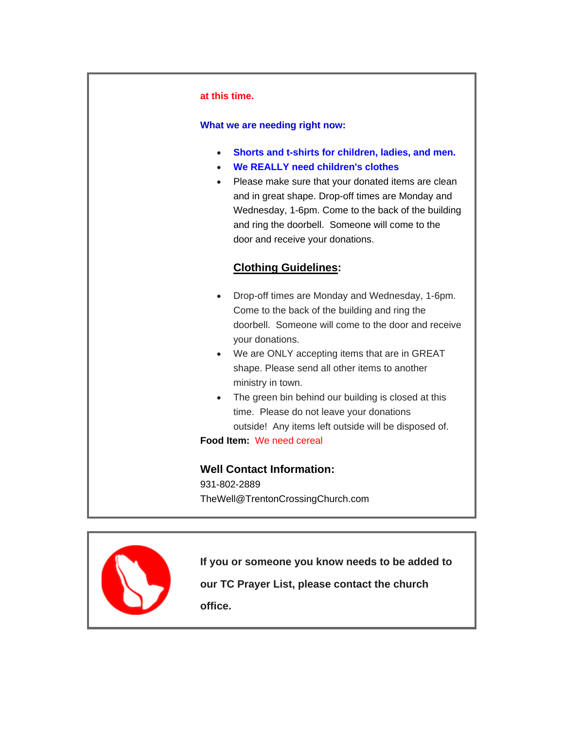#### **at this time.**

#### **What we are needing right now:**

- **Shorts and t-shirts for children, ladies, and men.**
- **We REALLY need children's clothes**
- Please make sure that your donated items are clean and in great shape. Drop-off times are Monday and Wednesday, 1-6pm. Come to the back of the building and ring the doorbell. Someone will come to the door and receive your donations.

#### **Clothing Guidelines:**

- Drop-off times are Monday and Wednesday, 1-6pm. Come to the back of the building and ring the doorbell. Someone will come to the door and receive your donations.
- We are ONLY accepting items that are in GREAT shape. Please send all other items to another ministry in town.
- The green bin behind our building is closed at this time. Please do not leave your donations outside! Any items left outside will be disposed of.

**Food Item:** We need cereal

**Well Contact Information:** 931-802-2889

TheWell@TrentonCrossingChurch.com



**If you or someone you know needs to be added to** 

**our TC Prayer List, please contact the church office.**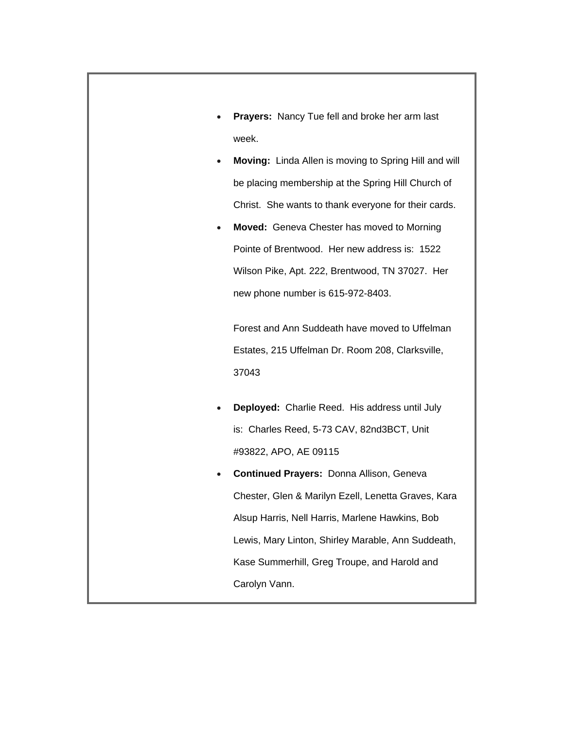- **Prayers:** Nancy Tue fell and broke her arm last week.
- **Moving:** Linda Allen is moving to Spring Hill and will be placing membership at the Spring Hill Church of Christ. She wants to thank everyone for their cards.
- **Moved:** Geneva Chester has moved to Morning Pointe of Brentwood. Her new address is: 1522 Wilson Pike, Apt. 222, Brentwood, TN 37027. Her new phone number is 615-972-8403.

Forest and Ann Suddeath have moved to Uffelman Estates, 215 Uffelman Dr. Room 208, Clarksville, 37043

- **Deployed:** Charlie Reed. His address until July is: Charles Reed, 5-73 CAV, 82nd3BCT, Unit #93822, APO, AE 09115
- **Continued Prayers:** Donna Allison, Geneva Chester, Glen & Marilyn Ezell, Lenetta Graves, Kara Alsup Harris, Nell Harris, Marlene Hawkins, Bob Lewis, Mary Linton, Shirley Marable, Ann Suddeath, Kase Summerhill, Greg Troupe, and Harold and Carolyn Vann.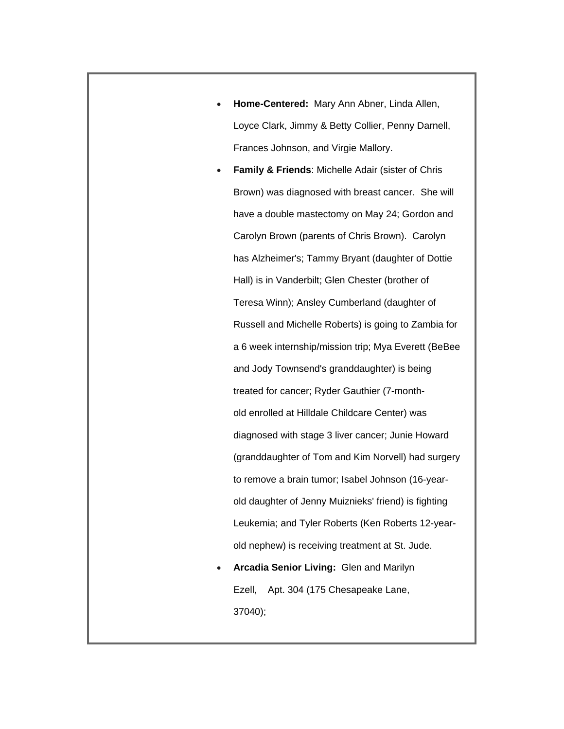- **Home-Centered:** Mary Ann Abner, Linda Allen, Loyce Clark, Jimmy & Betty Collier, Penny Darnell, Frances Johnson, and Virgie Mallory.
- **Family & Friends**: Michelle Adair (sister of Chris Brown) was diagnosed with breast cancer. She will have a double mastectomy on May 24; Gordon and Carolyn Brown (parents of Chris Brown). Carolyn has Alzheimer's; Tammy Bryant (daughter of Dottie Hall) is in Vanderbilt; Glen Chester (brother of Teresa Winn); Ansley Cumberland (daughter of Russell and Michelle Roberts) is going to Zambia for a 6 week internship/mission trip; Mya Everett (BeBee and Jody Townsend's granddaughter) is being treated for cancer; Ryder Gauthier (7-monthold enrolled at Hilldale Childcare Center) was diagnosed with stage 3 liver cancer; Junie Howard (granddaughter of Tom and Kim Norvell) had surgery to remove a brain tumor; Isabel Johnson (16-yearold daughter of Jenny Muiznieks' friend) is fighting Leukemia; and Tyler Roberts (Ken Roberts 12-yearold nephew) is receiving treatment at St. Jude.
- **Arcadia Senior Living:** Glen and Marilyn Ezell, Apt. 304 (175 Chesapeake Lane, 37040);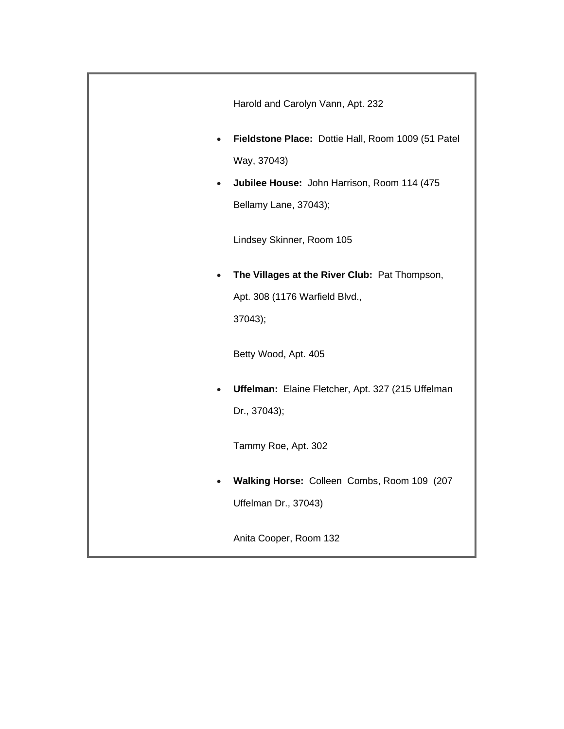|           | Harold and Carolyn Vann, Apt. 232                  |
|-----------|----------------------------------------------------|
| $\bullet$ | Fieldstone Place: Dottie Hall, Room 1009 (51 Patel |
|           | Way, 37043)                                        |
| $\bullet$ | Jubilee House: John Harrison, Room 114 (475        |
|           | Bellamy Lane, 37043);                              |
|           | Lindsey Skinner, Room 105                          |
| $\bullet$ | The Villages at the River Club: Pat Thompson,      |
|           | Apt. 308 (1176 Warfield Blvd.,                     |
|           | 37043);                                            |
|           | Betty Wood, Apt. 405                               |
| $\bullet$ | Uffelman: Elaine Fletcher, Apt. 327 (215 Uffelman  |
|           | Dr., 37043);                                       |
|           | Tammy Roe, Apt. 302                                |
|           | Walking Horse: Colleen Combs, Room 109 (207        |
|           | Uffelman Dr., 37043)                               |
|           | Anita Cooper, Room 132                             |